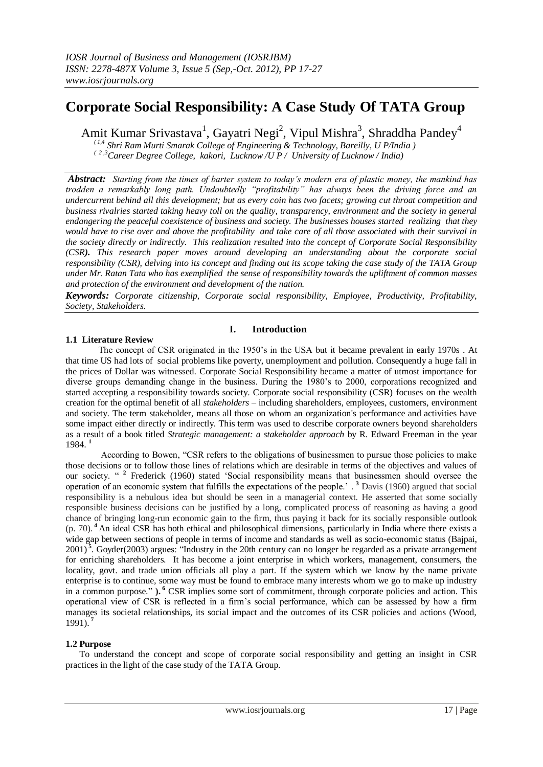# **Corporate Social Responsibility: A Case Study Of TATA Group**

Amit Kumar Srivastava<sup>1</sup>, Gayatri Negi<sup>2</sup>, Vipul Mishra<sup>3</sup>, Shraddha Pandey<sup>4</sup>

 *( 1,4 Shri Ram Murti Smarak College of Engineering & Technology, Bareilly, U P/India )*

 *( 2 ,3Career Degree College, kakori, Lucknow /U P / University of Lucknow / India)*

*Abstract: Starting from the times of barter system to today's modern era of plastic money, the mankind has trodden a remarkably long path. Undoubtedly "profitability" has always been the driving force and an undercurrent behind all this development; but as every coin has two facets; growing cut throat competition and business rivalries started taking heavy toll on the quality, transparency, environment and the society in general endangering the peaceful coexistence of business and society. The businesses houses started realizing that they would have to rise over and above the profitability and take care of all those associated with their survival in the society directly or indirectly. This realization resulted into the concept of Corporate Social Responsibility (CSR). This research paper moves around developing an understanding about the corporate social responsibility (CSR), delving into its concept and finding out its scope taking the case study of the TATA Group under Mr. Ratan Tata who has exemplified the sense of responsibility towards the upliftment of common masses and protection of the environment and development of the nation.*

*Keywords: Corporate citizenship, Corporate social responsibility, Employee, Productivity, Profitability, Society, Stakeholders.*

# **I. Introduction**

# **1.1 Literature Review**

The concept of CSR originated in the 1950's in the USA but it became prevalent in early 1970s . At that time US had lots of social problems like poverty, unemployment and pollution. Consequently a huge fall in the prices of Dollar was witnessed. Corporate Social Responsibility became a matter of utmost importance for diverse groups demanding change in the business. During the 1980's to 2000, corporations recognized and started accepting a responsibility towards society. Corporate social responsibility (CSR) focuses on the wealth creation for the optimal benefit of all *stakeholders* – including shareholders, employees, customers, environment and society. The term [stakeholder,](http://en.wikipedia.org/wiki/Stakeholder_(corporate)) means all those on whom an organization's performance and activities have some impact either directly or indirectly. This term was used to describe corporate owners beyond [shareholders](http://en.wikipedia.org/wiki/Shareholders) as a result of a book titled *Strategic management: a stakeholder approach* by [R. Edward Freeman](http://en.wikipedia.org/wiki/R._Edward_Freeman) in the year 1984. **<sup>1</sup>**

According to Bowen, "CSR refers to the obligations of businessmen to pursue those policies to make those decisions or to follow those lines of relations which are desirable in terms of the objectives and values of our society. "<sup>2</sup> Frederick (1960) stated 'Social responsibility means that businessmen should oversee the operation of an economic system that fulfills the expectations of the people.' . **<sup>3</sup>** Davis (1960) argued that social responsibility is a nebulous idea but should be seen in a managerial context. He asserted that some socially responsible business decisions can be justified by a long, complicated process of reasoning as having a good chance of bringing long-run economic gain to the firm, thus paying it back for its socially responsible outlook (p. 70). **<sup>4</sup>**An ideal CSR has both ethical and philosophical dimensions, particularly in India where there exists a wide gap between sections of people in terms of income and standards as well as socio-economic status (Bajpai, 2001)<sup>5</sup>. Goyder(2003) argues: "Industry in the 20th century can no longer be regarded as a private arrangement for enriching shareholders. It has become a joint enterprise in which workers, management, consumers, the locality, govt. and trade union officials all play a part. If the system which we know by the name private enterprise is to continue, some way must be found to embrace many interests whom we go to make up industry in a common purpose." **). 6** CSR implies some sort of commitment, through corporate policies and action. This operational view of CSR is reflected in a firm's social performance, which can be assessed by how a firm manages its societal relationships, its social impact and the outcomes of its CSR policies and actions (Wood, 1991). **<sup>7</sup>**

# **1.2 Purpose**

To understand the concept and scope of corporate social responsibility and getting an insight in CSR practices in the light of the case study of the TATA Group.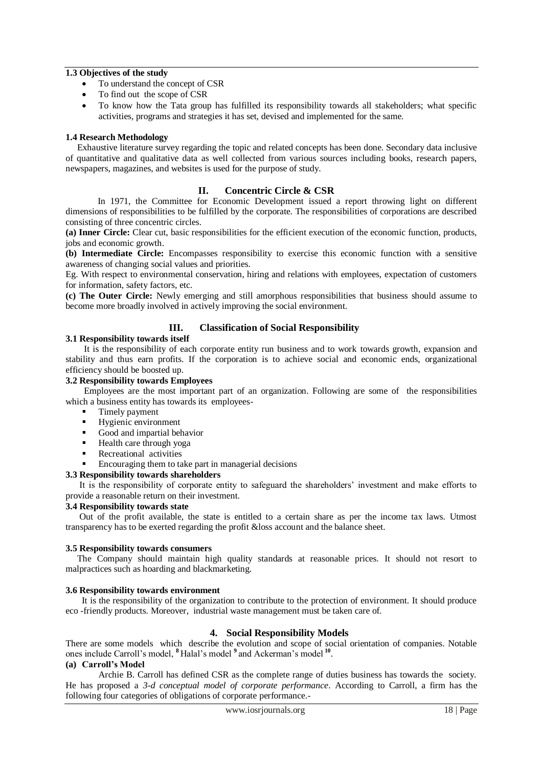## **1.3 Objectives of the study**

- To understand the concept of CSR
- To find out the scope of CSR
- To know how the Tata group has fulfilled its responsibility towards all stakeholders; what specific activities, programs and strategies it has set, devised and implemented for the same.

#### **1.4 Research Methodology**

Exhaustive literature survey regarding the topic and related concepts has been done. Secondary data inclusive of quantitative and qualitative data as well collected from various sources including books, research papers, newspapers, magazines, and websites is used for the purpose of study.

#### **II. Concentric Circle & CSR**

 In 1971, the Committee for Economic Development issued a report throwing light on different dimensions of responsibilities to be fulfilled by the corporate. The responsibilities of corporations are described consisting of three concentric circles.

**(a) Inner Circle:** Clear cut, basic responsibilities for the efficient execution of the economic function, products, jobs and economic growth.

**(b) Intermediate Circle:** Encompasses responsibility to exercise this economic function with a sensitive awareness of changing social values and priorities.

Eg. With respect to environmental conservation, hiring and relations with employees, expectation of customers for information, safety factors, etc.

**(c) The Outer Circle:** Newly emerging and still amorphous responsibilities that business should assume to become more broadly involved in actively improving the social environment.

## **III. Classification of Social Responsibility**

#### **3.1 Responsibility towards itself**

It is the responsibility of each corporate entity run business and to work towards growth, expansion and stability and thus earn profits. If the corporation is to achieve social and economic ends, organizational efficiency should be boosted up.

#### **3.2 Responsibility towards Employees**

Employees are the most important part of an organization. Following are some of the responsibilities which a business entity has towards its employees-

- Timely payment
- Hygienic environment
- Good and impartial behavior
- Health care through yoga
- Recreational activities
- Encouraging them to take part in managerial decisions
- **3.3 Responsibility towards shareholders**

It is the responsibility of corporate entity to safeguard the shareholders' investment and make efforts to provide a reasonable return on their investment.

#### **3.4 Responsibility towards state**

Out of the profit available, the state is entitled to a certain share as per the income tax laws. Utmost transparency has to be exerted regarding the profit &loss account and the balance sheet.

#### **3.5 Responsibility towards consumers**

The Company should maintain high quality standards at reasonable prices. It should not resort to malpractices such as hoarding and blackmarketing.

#### **3.6 Responsibility towards environment**

 It is the responsibility of the organization to contribute to the protection of environment. It should produce eco -friendly products. Moreover, industrial waste management must be taken care of.

# **4. Social Responsibility Models**

There are some models which describe the evolution and scope of social orientation of companies. Notable ones include Carroll's model, **<sup>8</sup>** Halal's model **<sup>9</sup>** and Ackerman's model **<sup>10</sup>** .

#### **(a) Carroll's Model**

 Archie B. Carroll has defined CSR as the complete range of duties business has towards the society. He has proposed a *3-d conceptual model of corporate performance*. According to Carroll, a firm has the following four categories of obligations of corporate performance.*-*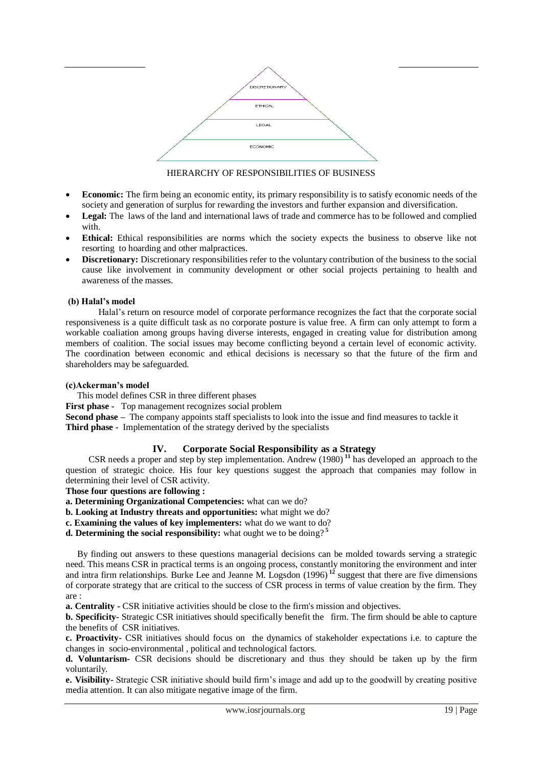

# HIERARCHY OF RESPONSIBILITIES OF BUSINESS

- **Economic:** The firm being an economic entity, its primary responsibility is to satisfy economic needs of the society and generation of surplus for rewarding the investors and further expansion and diversification.
- Legal: The laws of the land and international laws of trade and commerce has to be followed and complied with.
- **Ethical:** Ethical responsibilities are norms which the society expects the business to observe like not resorting to hoarding and other malpractices.
- **Discretionary:** Discretionary responsibilities refer to the voluntary contribution of the business to the social cause like involvement in community development or other social projects pertaining to health and awareness of the masses.

# **(b) Halal's model**

Halal's return on resource model of corporate performance recognizes the fact that the corporate social responsiveness is a quite difficult task as no corporate posture is value free. A firm can only attempt to form a workable coaliation among groups having diverse interests, engaged in creating value for distribution among members of coalition. The social issues may become conflicting beyond a certain level of economic activity. The coordination between economic and ethical decisions is necessary so that the future of the firm and shareholders may be safeguarded.

## **(c)Ackerman's model**

This model defines CSR in three different phases

**First phase -** Top management recognizes social problem

**Second phase –** The company appoints staff specialists to look into the issue and find measures to tackle it **Third phase -** Implementation of the strategy derived by the specialists

# **IV. Corporate Social Responsibility as a Strategy**

 CSR needs a proper and step by step implementation. Andrew (1980) **<sup>11</sup>** has developed an approach to the question of strategic choice. His four key questions suggest the approach that companies may follow in determining their level of CSR activity.

**Those four questions are following :**

**a. Determining Organizational Competencies:** what can we do?

- **b. Looking at Industry threats and opportunities:** what might we do?
- **c. Examining the values of key implementers:** what do we want to do?
- **d. Determining the social responsibility:** what ought we to be doing? **<sup>5</sup>**

 By finding out answers to these questions managerial decisions can be molded towards serving a strategic need. This means CSR in practical terms is an ongoing process, constantly monitoring the environment and inter and intra firm relationships. Burke Lee and Jeanne M. Logsdon (1996) **<sup>12</sup>** suggest that there are five dimensions of corporate strategy that are critical to the success of CSR process in terms of value creation by the firm. They are :

**a. Centrality -** CSR initiative activities should be close to the firm's mission and objectives.

**b. Specificity-** Strategic CSR initiatives should specifically benefit the firm. The firm should be able to capture the benefits of CSR initiatives.

**c. Proactivity-** CSR initiatives should focus on the dynamics of stakeholder expectations i.e. to capture the changes in socio-environmental , political and technological factors.

**d. Voluntarism-** CSR decisions should be discretionary and thus they should be taken up by the firm voluntarily.

**e. Visibility-** Strategic CSR initiative should build firm's image and add up to the goodwill by creating positive media attention. It can also mitigate negative image of the firm.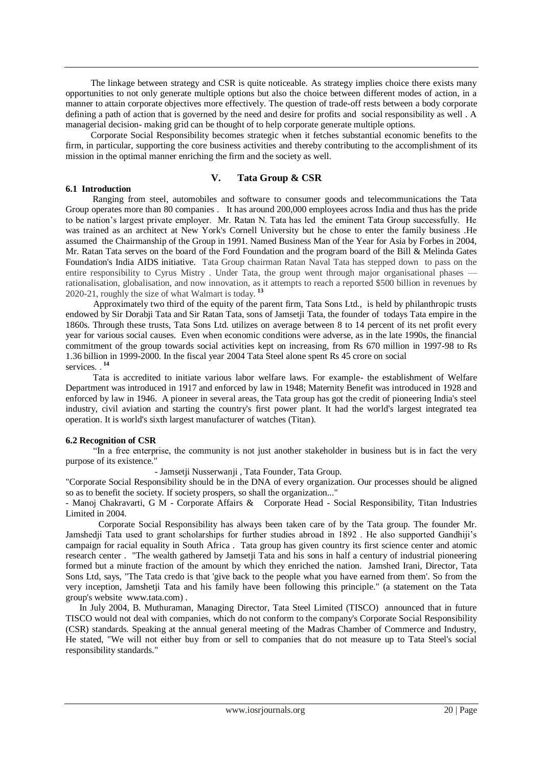The linkage between strategy and CSR is quite noticeable. As strategy implies choice there exists many opportunities to not only generate multiple options but also the choice between different modes of action, in a manner to attain corporate objectives more effectively. The question of trade-off rests between a body corporate defining a path of action that is governed by the need and desire for profits and social responsibility as well . A managerial decision- making grid can be thought of to help corporate generate multiple options.

 Corporate Social Responsibility becomes strategic when it fetches substantial economic benefits to the firm, in particular, supporting the core business activities and thereby contributing to the accomplishment of its mission in the optimal manner enriching the firm and the society as well.

## **V. Tata Group & CSR**

#### **6.1 Introduction**

Ranging from steel, automobiles and software to consumer goods and telecommunications the Tata Group operates more than 80 companies . It has around 200,000 employees across India and thus has the pride to be nation's largest private employer. Mr. Ratan N. Tata has led the eminent Tata Group successfully. He was trained as an architect at New York's Cornell University but he chose to enter the family business .He assumed the Chairmanship of the Group in 1991. Named Business Man of the Year for Asia by Forbes in 2004, Mr. Ratan Tata serves on the board of the Ford Foundation and the program board of the Bill & Melinda Gates Foundation's India AIDS initiative. Tata Group chairman Ratan Naval Tata has stepped down to pass on the entire responsibility to Cyrus Mistry . Under Tata, the group went through major organisational phases rationalisation, globalisation, and now innovation, as it attempts to reach a reported \$500 billion in revenues by 2020-21, roughly the size of what Walmart is today. **<sup>13</sup>**

 Approximately two third of the equity of the parent firm, Tata Sons Ltd., is held by philanthropic trusts endowed by Sir Dorabji Tata and Sir Ratan Tata, sons of Jamsetji Tata, the founder of todays Tata empire in the 1860s. Through these trusts, Tata Sons Ltd. utilizes on average between 8 to 14 percent of its net profit every year for various social causes. Even when economic conditions were adverse, as in the late 1990s, the financial commitment of the group towards social activities kept on increasing, from Rs 670 million in 1997-98 to Rs 1.36 billion in 1999-2000. In the fiscal year 2004 Tata Steel alone spent Rs 45 crore on social services. . **14**

 Tata is accredited to initiate various labor welfare laws. For example- the establishment of Welfare Department was introduced in 1917 and enforced by law in 1948; Maternity Benefit was introduced in 1928 and enforced by law in 1946. A pioneer in several areas, the Tata group has got the credit of pioneering India's steel industry, civil aviation and starting the country's first power plant. It had the world's largest integrated tea operation. It is world's sixth largest manufacturer of watches (Titan).

## **6.2 Recognition of CSR**

 ―In a free enterprise, the community is not just another stakeholder in business but is in fact the very purpose of its existence."

- Jamsetji Nusserwanji , Tata Founder, Tata Group.

"Corporate Social Responsibility should be in the DNA of every organization. Our processes should be aligned so as to benefit the society. If society prospers, so shall the organization..."

- Manoj Chakravarti, G M - Corporate Affairs & Corporate Head - Social Responsibility, Titan Industries Limited in 2004.

 Corporate Social Responsibility has always been taken care of by the Tata group. The founder Mr. Jamshedji Tata used to grant scholarships for further studies abroad in 1892 . He also supported Gandhiji's campaign for racial equality in South Africa . Tata group has given country its first science center and atomic research center . "The wealth gathered by Jamsetji Tata and his sons in half a century of industrial pioneering formed but a minute fraction of the amount by which they enriched the nation. Jamshed Irani, Director, Tata Sons Ltd, says, "The Tata credo is that 'give back to the people what you have earned from them'. So from the very inception, Jamshetji Tata and his family have been following this principle." (a statement on the Tata group's website [www.tata.com\)](http://www.tata.com/) .

 In July 2004, B. Muthuraman, Managing Director, Tata Steel Limited (TISCO) announced that in future TISCO would not deal with companies, which do not conform to the company's Corporate Social Responsibility (CSR) standards. Speaking at the annual general meeting of the Madras Chamber of Commerce and Industry, He stated, "We will not either buy from or sell to companies that do not measure up to Tata Steel's social responsibility standards."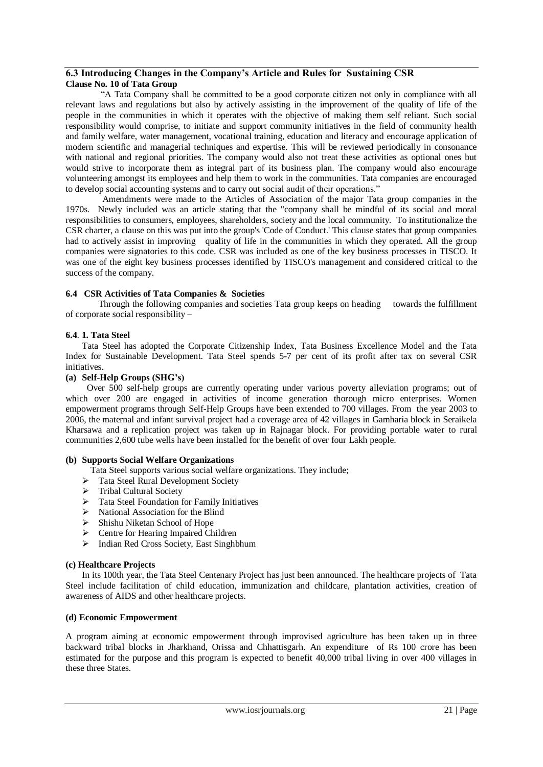# **6.3 Introducing Changes in the Company's Article and Rules for Sustaining CSR Clause No. 10 of Tata Group**

―A Tata Company shall be committed to be a good corporate citizen not only in compliance with all relevant laws and regulations but also by actively assisting in the improvement of the quality of life of the people in the communities in which it operates with the objective of making them self reliant. Such social responsibility would comprise, to initiate and support community initiatives in the field of community health and family welfare, water management, vocational training, education and literacy and encourage application of modern scientific and managerial techniques and expertise. This will be reviewed periodically in consonance with national and regional priorities. The company would also not treat these activities as optional ones but would strive to incorporate them as integral part of its business plan. The company would also encourage volunteering amongst its employees and help them to work in the communities. Tata companies are encouraged to develop social accounting systems and to carry out social audit of their operations."

 Amendments were made to the Articles of Association of the major Tata group companies in the 1970s. Newly included was an article stating that the "company shall be mindful of its social and moral responsibilities to consumers, employees, shareholders, society and the local community. To institutionalize the CSR charter, a clause on this was put into the group's 'Code of Conduct.' This clause states that group companies had to actively assist in improving quality of life in the communities in which they operated. All the group companies were signatories to this code. CSR was included as one of the key business processes in TISCO. It was one of the eight key business processes identified by TISCO's management and considered critical to the success of the company.

## **6.4 CSR Activities of Tata Companies & Societies**

Through the following companies and societies Tata group keeps on heading towards the fulfillment of corporate social responsibility –

## **6.4**. **1. Tata Steel**

Tata Steel has adopted the Corporate Citizenship Index, Tata Business Excellence Model and the Tata Index for Sustainable Development. Tata Steel spends 5-7 per cent of its profit after tax on several CSR initiatives.

## **(a) Self-Help Groups (SHG's)**

 Over 500 self-help groups are currently operating under various poverty alleviation programs; out of which over 200 are engaged in activities of income generation thorough micro enterprises. Women empowerment programs through Self-Help Groups have been extended to 700 villages. From the year 2003 to 2006, the maternal and infant survival project had a coverage area of 42 villages in Gamharia block in Seraikela Kharsawa and a replication project was taken up in Rajnagar block. For providing portable water to rural communities 2,600 tube wells have been installed for the benefit of over four Lakh people.

## **(b) Supports Social Welfare Organizations**

Tata Steel supports various social welfare organizations. They include;

- > Tata Steel Rural Development Society
- > Tribal Cultural Society
- $\triangleright$  Tata Steel Foundation for Family Initiatives
- $\triangleright$  National Association for the Blind
- $\triangleright$  Shishu Niketan School of Hope
- > Centre for Hearing Impaired Children
- $\triangleright$  Indian Red Cross Society, East Singhbhum

## **(c) Healthcare Projects**

In its 100th year, the Tata Steel Centenary Project has just been announced. The healthcare projects of Tata Steel include facilitation of child education, immunization and childcare, plantation activities, creation of awareness of AIDS and other healthcare projects.

## **(d) Economic Empowerment**

A program aiming at economic empowerment through improvised agriculture has been taken up in three backward tribal blocks in Jharkhand, Orissa and Chhattisgarh. An expenditure of Rs 100 crore has been estimated for the purpose and this program is expected to benefit 40,000 tribal living in over 400 villages in these three States.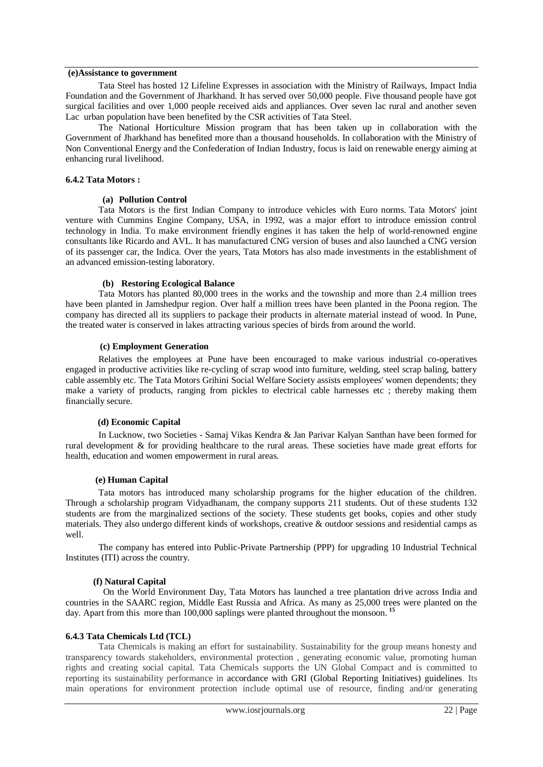#### **(e)Assistance to government**

Tata Steel has hosted 12 Lifeline Expresses in association with the Ministry of Railways, Impact India Foundation and the Government of Jharkhand. It has served over 50,000 people. Five thousand people have got surgical facilities and over 1,000 people received aids and appliances. Over seven lac rural and another seven Lac urban population have been benefited by the CSR activities of Tata Steel.

The National Horticulture Mission program that has been taken up in collaboration with the Government of Jharkhand has benefited more than a thousand households. In collaboration with the Ministry of Non Conventional Energy and the Confederation of Indian Industry, focus is laid on renewable energy aiming at enhancing rural livelihood.

#### **6.4.2 Tata Motors :**

#### **(a) Pollution Control**

Tata Motors is the first Indian Company to introduce vehicles with Euro norms. Tata Motors' joint venture with Cummins Engine Company, USA, in 1992, was a major effort to introduce emission control technology in India. To make environment friendly engines it has taken the help of world-renowned engine consultants like Ricardo and AVL. It has manufactured CNG version of buses and also launched a CNG version of its passenger car, the Indica. Over the years, Tata Motors has also made investments in the establishment of an advanced emission-testing laboratory.

## **(b) Restoring Ecological Balance**

Tata Motors has planted 80,000 trees in the works and the township and more than 2.4 million trees have been planted in Jamshedpur region. Over half a million trees have been planted in the Poona region. The company has directed all its suppliers to package their products in alternate material instead of wood. In Pune, the treated water is conserved in lakes attracting various species of birds from around the world.

#### **(c) Employment Generation**

Relatives the employees at Pune have been encouraged to make various industrial co-operatives engaged in productive activities like re-cycling of scrap wood into furniture, welding, steel scrap baling, battery cable assembly etc. The Tata Motors Grihini Social Welfare Society assists employees' women dependents; they make a variety of products, ranging from pickles to electrical cable harnesses etc ; thereby making them financially secure.

## **(d) Economic Capital**

In Lucknow, two Societies - Samaj Vikas Kendra & Jan Parivar Kalyan Santhan have been formed for rural development & for providing healthcare to the rural areas. These societies have made great efforts for health, education and women empowerment in rural areas.

## **(e) Human Capital**

Tata motors has introduced many scholarship programs for the higher education of the children. Through a scholarship program Vidyadhanam, the company supports 211 students. Out of these students 132 students are from the marginalized sections of the society. These students get books, copies and other study materials. They also undergo different kinds of workshops, creative & outdoor sessions and residential camps as well.

The company has entered into Public-Private Partnership (PPP) for upgrading 10 Industrial Technical Institutes (ITI) across the country.

## **(f) Natural Capital**

 On the World Environment Day, Tata Motors has launched a tree plantation drive across India and countries in the SAARC region, Middle East Russia and Africa. As many as 25,000 trees were planted on the day. Apart from this more than 100,000 saplings were planted throughout the monsoon. **<sup>15</sup>**

## **6.4.3 Tata Chemicals Ltd (TCL)**

Tata Chemicals is making an effort for sustainability. Sustainability for the group means honesty and transparency towards stakeholders, environmental protection , generating economic value, promoting human rights and creating social capital. Tata Chemicals supports the UN Global Compact and is committed to reporting its sustainability performance in accordance with GRI (Global Reporting Initiatives) guidelines. Its main operations for environment protection include optimal use of resource, finding and/or generating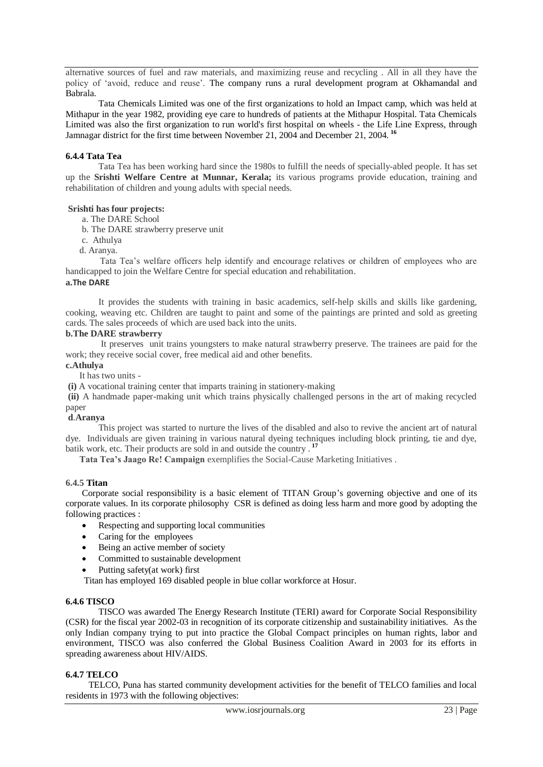alternative sources of fuel and raw materials, and maximizing reuse and recycling . All in all they have the policy of ‗avoid, reduce and reuse'. The company runs a rural development program at Okhamandal and Babrala.

Tata Chemicals Limited was one of the first organizations to hold an Impact camp, which was held at Mithapur in the year 1982, providing eye care to hundreds of patients at the Mithapur Hospital. Tata Chemicals Limited was also the first organization to run world's first hospital on wheels - the Life Line Express, through Jamnagar district for the first time between November 21, 2004 and December 21, 2004. **<sup>16</sup>**

#### **6.4.4 Tata Tea**

Tata Tea has been working hard since the 1980s to fulfill the needs of specially-abled people. It has set up the **Srishti Welfare Centre at Munnar, Kerala;** its various programs provide education, training and rehabilitation of children and young adults with special needs.

#### **Srishti has four projects:**

a. The DARE School

b. The DARE strawberry preserve unit

- c. Athulya
- d. Aranya.

 Tata Tea's welfare officers help identify and encourage relatives or children of employees who are handicapped to join the Welfare Centre for special education and rehabilitation.

## **a.The DARE**

It provides the students with training in basic academics, self-help skills and skills like gardening, cooking, weaving etc. Children are taught to paint and some of the paintings are printed and sold as greeting cards. The sales proceeds of which are used back into the units.

#### **b.The DARE strawberry**

It preserves unit trains youngsters to make natural strawberry preserve. The trainees are paid for the work; they receive social cover, free medical aid and other benefits.

**c.Athulya**

It has two units -

**(i)** A vocational training center that imparts training in stationery-making

**(ii)** A handmade paper-making unit which trains physically challenged persons in the art of making recycled paper

## **d**.**Aranya**

This project was started to nurture the lives of the disabled and also to revive the ancient art of natural dye. Individuals are given training in various natural dyeing techniques including block printing, tie and dye, batik work, etc. Their products are sold in and outside the country . **<sup>17</sup>**

 **Tata Tea's Jaago Re! Campaign** exemplifies the Social-Cause Marketing Initiatives .

#### **6.4.5 Titan**

Corporate social responsibility is a basic element of TITAN Group's governing objective and one of its [corporate values.](http://www.titan.gr/default.asp?siteid=1&pageid=102&langID=2) In its corporate philosophy CSR is defined as doing [less harm and more good](http://www.titan.gr/default.asp?siteID=1&pageID=107&langID=2) by adopting the following practices :

- Respecting and supporting local communities
- Caring for the employees
- Being an active member of society
- Committed to sustainable development
- Putting safety(at work) first

Titan has employed 169 disabled people in blue collar workforce at Hosur.

#### **6.4.6 TISCO**

TISCO was awarded The Energy Research Institute (TERI) award for Corporate Social Responsibility (CSR) for the fiscal year 2002-03 in recognition of its corporate citizenship and sustainability initiatives. As the only Indian company trying to put into practice the Global Compact principles on human rights, labor and environment, TISCO was also conferred the Global Business Coalition Award in 2003 for its efforts in spreading awareness about HIV/AIDS.

## **6.4.7 TELCO**

TELCO, Puna has started community development activities for the benefit of TELCO families and local residents in 1973 with the following objectives: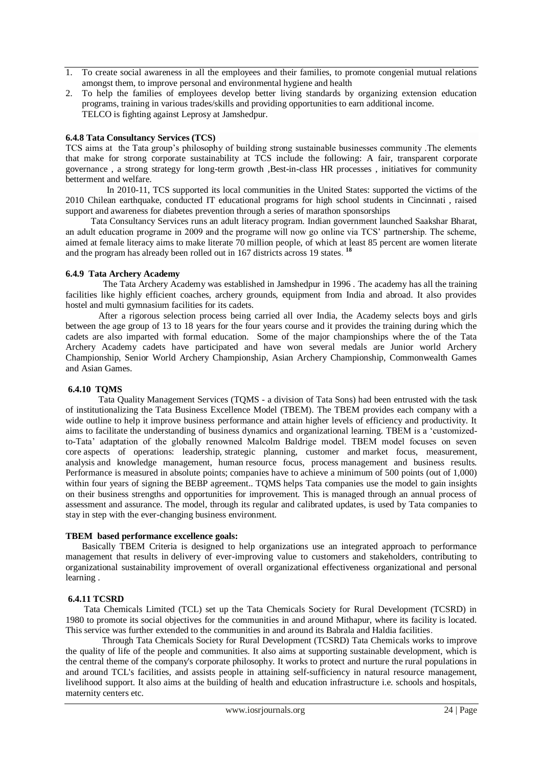- 1. To create social awareness in all the employees and their families, to promote congenial mutual relations amongst them, to improve personal and environmental hygiene and health
- 2. To help the families of employees develop better living standards by organizing extension education programs, training in various trades/skills and providing opportunities to earn additional income. TELCO is fighting against Leprosy at Jamshedpur.

#### **6.4.8 Tata Consultancy Services (TCS)**

TCS aims at the Tata group's philosophy of building strong sustainable businesses community .The elements that make for strong corporate sustainability at TCS include the following: A fair, transparent corporate governance , a strong strategy for long-term growth ,Best-in-class HR processes , initiatives for community betterment and welfare.

 In 2010-11, TCS supported its local communities in the United States: supported the victims of the 2010 Chilean earthquake, conducted IT educational programs for high school students in Cincinnati , raised support and awareness for diabetes prevention through a series of marathon sponsorships

 Tata Consultancy Services runs an adult literacy program. Indian government launched Saakshar Bharat, an adult education programe in 2009 and the programe will now go online via TCS' partnership. The scheme, aimed at female literacy aims to make literate 70 million people, of which at least 85 percent are women literate and the program has already been rolled out in 167 districts across 19 states. **18**

## **6.4.9 Tata Archery Academy**

The Tata Archery Academy was established in Jamshedpur in 1996 . The academy has all the training facilities like highly efficient coaches, archery grounds, equipment from India and abroad. It also provides hostel and multi gymnasium facilities for its cadets.

After a rigorous selection process being carried all over India, the Academy selects boys and girls between the age group of 13 to 18 years for the four years course and it provides the training during which the cadets are also imparted with formal education. Some of the major championships where the of the Tata Archery Academy cadets have participated and have won several medals are Junior world Archery Championship, Senior World Archery Championship, Asian Archery Championship, Commonwealth Games and Asian Games.

## **6.4.10 TQMS**

Tata Quality Management Services (TQMS - a division of Tata Sons) had been entrusted with the task of institutionalizing the Tata Business Excellence Model (TBEM). The TBEM provides each company with a wide outline to help it improve business performance and attain higher levels of efficiency and productivity. It aims to facilitate the understanding of business dynamics and organizational learning. TBEM is a 'customizedto-Tata' adaptation of the globally renowned Malcolm Baldrige model. TBEM model focuses on seven core aspects of operations: leadership, strategic planning, customer and market focus, measurement, analysis and knowledge management, human resource focus, process management and business results. Performance is measured in absolute points; companies have to achieve a minimum of 500 points (out of 1,000) within four years of signing the BEBP agreement.. TQMS helps Tata companies use the model to gain insights on their business strengths and opportunities for improvement. This is managed through an annual process of assessment and assurance. The model, through its regular and calibrated updates, is used by Tata companies to stay in step with the ever-changing business environment.

## **TBEM based performance excellence goals:**

 Basically TBEM Criteria is designed to help organizations use an integrated approach to performance management that results in delivery of ever-improving value to customers and stakeholders, contributing to organizational sustainability improvement of overall organizational effectiveness organizational and personal learning .

## **6.4.11 TCSRD**

Tata Chemicals Limited (TCL) set up the Tata Chemicals Society for Rural Development (TCSRD) in 1980 to promote its social objectives for the communities in and around Mithapur, where its facility is located. This service was further extended to the communities in and around its Babrala and Haldia facilities.

 Through Tata Chemicals Society for Rural Development (TCSRD) Tata Chemicals works to improve the quality of life of the people and communities. It also aims at supporting sustainable development, which is the central theme of the company's corporate philosophy. It works to protect and nurture the rural populations in and around TCL's facilities, and assists people in attaining self-sufficiency in natural resource management, livelihood support. It also aims at the building of health and education infrastructure i.e. schools and hospitals, maternity centers etc.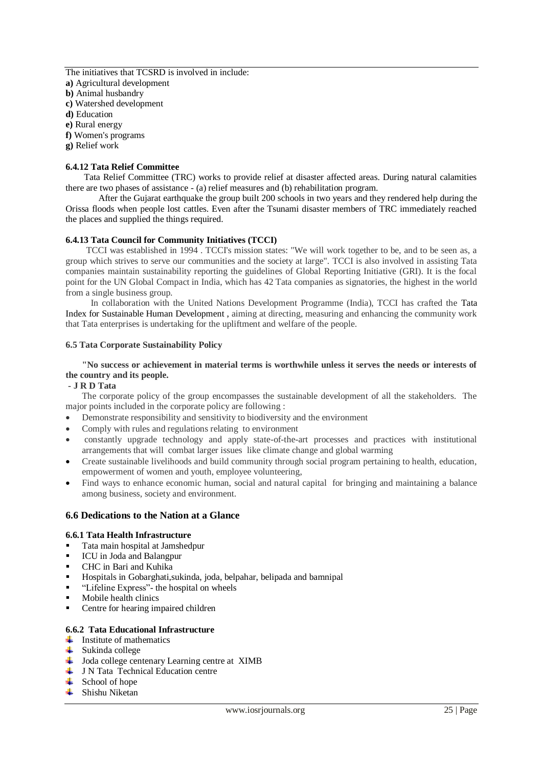The initiatives that TCSRD is involved in include: **a)** Agricultural development **b)** Animal husbandry **c)** Watershed development **d)** Education **e)** Rural energy

**f)** Women's programs

**g)** Relief work

#### **6.4.12 Tata Relief Committee**

Tata Relief Committee (TRC) works to provide relief at disaster affected areas. During natural calamities there are two phases of assistance - (a) relief measures and (b) rehabilitation program.

After the Gujarat earthquake the group built 200 schools in two years and they rendered help during the Orissa floods when people lost cattles. Even after the Tsunami disaster members of TRC immediately reached the places and supplied the things required.

#### **6.4.13 Tata Council for Community Initiatives (TCCI)**

TCCI was established in 1994 . TCCI's mission states: "We will work together to be, and to be seen as, a group which strives to serve our communities and the society at large". TCCI is also involved in assisting Tata companies maintain sustainability reporting the guidelines of Global Reporting Initiative (GRI). It is the focal point for the UN Global Compact in India, which has 42 Tata companies as signatories, the highest in the world from a single business group.

 In collaboration with the United Nations Development Programme (India), TCCI has crafted the [Tata](http://www.tata.com/ourcommitment/articles/inside.aspx?artid=4k1011ilySU=)  [Index for Sustainable Human Development](http://www.tata.com/ourcommitment/articles/inside.aspx?artid=4k1011ilySU=) , aiming at directing, measuring and enhancing the community work that Tata enterprises is undertaking for the upliftment and welfare of the people.

#### **6.5 Tata Corporate Sustainability Policy**

## **"No success or achievement in material terms is worthwhile unless it serves the needs or interests of the country and its people.**

#### **- J R D Tata**

The corporate policy of the group encompasses the sustainable development of all the stakeholders. The major points included in the corporate policy are following :

- Demonstrate responsibility and sensitivity to biodiversity and the environment
- Comply with rules and regulations relating to environment
- constantly upgrade technology and apply state-of-the-art processes and practices with institutional arrangements that will combat larger issues like climate change and global warming
- Create sustainable livelihoods and build community through social program pertaining to health, education, empowerment of women and youth, employee volunteering,
- Find ways to enhance economic human, social and natural capital for bringing and maintaining a balance among business, society and environment.

## **6.6 Dedications to the Nation at a Glance**

## **6.6.1 Tata Health Infrastructure**

- Tata main hospital at Jamshedpur
- ICU in Joda and Balangpur
- CHC in Bari and Kuhika
- Hospitals in Gobarghati,sukinda, joda, belpahar, belipada and bamnipal
- ―Lifeline Express‖- the hospital on wheels
- **Mobile health clinics**
- Centre for hearing impaired children

#### **6.6.2 Tata Educational Infrastructure**

- $\downarrow$  Institute of mathematics
- $\downarrow$  Sukinda college
- $\overline{\phantom{a}}$  Joda college centenary Learning centre at XIMB
- $\downarrow$  JN Tata Technical Education centre
- $\leftarrow$  School of hope
- $\overline{\phantom{a}}$  Shishu Niketan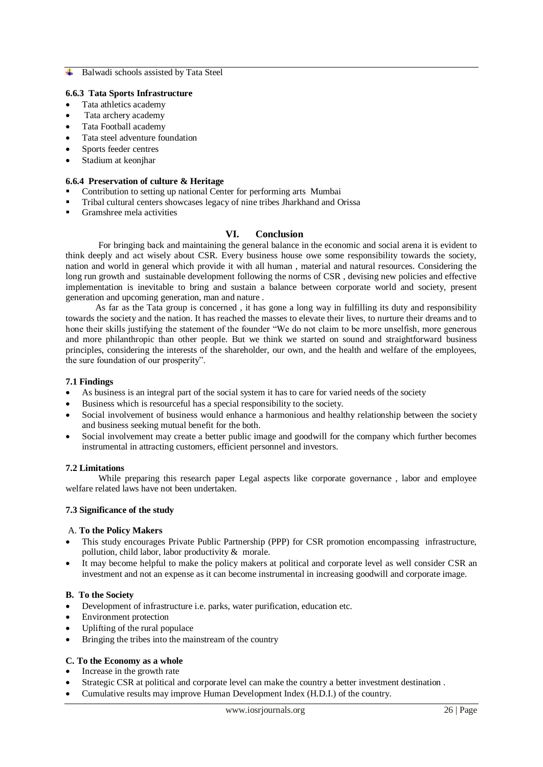#### **Balwadi schools assisted by Tata Steel**

## **6.6.3 Tata Sports Infrastructure**

- Tata athletics academy
- Tata archery academy
- Tata Football academy
- Tata steel adventure foundation
- Sports feeder centres
- Stadium at keonjhar

## **6.6.4 Preservation of culture & Heritage**

- Contribution to setting up national Center for performing arts Mumbai
- Tribal cultural centers showcases legacy of nine tribes Jharkhand and Orissa
- Gramshree mela activities

## **VI. Conclusion**

For bringing back and maintaining the general balance in the economic and social arena it is evident to think deeply and act wisely about CSR. Every business house owe some responsibility towards the society, nation and world in general which provide it with all human , material and natural resources. Considering the long run growth and sustainable development following the norms of CSR , devising new policies and effective implementation is inevitable to bring and sustain a balance between corporate world and society, present generation and upcoming generation, man and nature .

 As far as the Tata group is concerned , it has gone a long way in fulfilling its duty and responsibility towards the society and the nation. It has reached the masses to elevate their lives, to nurture their dreams and to hone their skills justifying the statement of the founder "We do not claim to be more unselfish, more generous and more philanthropic than other people. But we think we started on sound and straightforward business principles, considering the interests of the shareholder, our own, and the health and welfare of the employees, the sure foundation of our prosperity".

#### **7.1 Findings**

- As business is an integral part of the social system it has to care for varied needs of the society
- Business which is resourceful has a special responsibility to the society.
- Social involvement of business would enhance a harmonious and healthy relationship between the society and business seeking mutual benefit for the both.
- Social involvement may create a better public image and goodwill for the company which further becomes instrumental in attracting customers, efficient personnel and investors.

## **7.2 Limitations**

While preparing this research paper Legal aspects like corporate governance , labor and employee welfare related laws have not been undertaken.

## **7.3 Significance of the study**

#### A. **To the Policy Makers**

- This study encourages Private Public Partnership (PPP) for CSR promotion encompassing infrastructure, pollution, child labor, labor productivity & morale.
- It may become helpful to make the policy makers at political and corporate level as well consider CSR an investment and not an expense as it can become instrumental in increasing goodwill and corporate image.

## **B. To the Society**

- Development of infrastructure i.e. parks, water purification, education etc.
- Environment protection
- Uplifting of the rural populace
- Bringing the tribes into the mainstream of the country

## **C. To the Economy as a whole**

- Increase in the growth rate
- Strategic CSR at political and corporate level can make the country a better investment destination .
- Cumulative results may improve Human Development Index (H.D.I.) of the country.